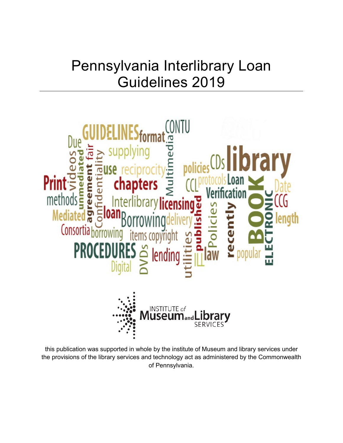# Pennsylvania Interlibrary Loan Guidelines 2019



this publication was supported in whole by the institute of Museum and library services under the provisions of the library services and technology act as administered by the Commonwealth of Pennsylvania.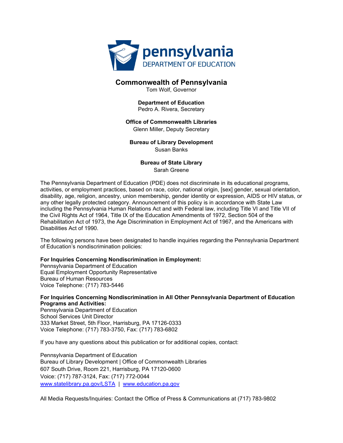

#### **Commonwealth of Pennsylvania**

Tom Wolf, Governor

#### **Department of Education** Pedro A. Rivera, Secretary

#### **Office of Commonwealth Libraries**

Glenn Miller, Deputy Secretary

**Bureau of Library Development** Susan Banks

> **Bureau of State Library** Sarah Greene

The Pennsylvania Department of Education (PDE) does not discriminate in its educational programs, activities, or employment practices, based on race, color, national origin, [sex] gender, sexual orientation, disability, age, religion, ancestry, union membership, gender identity or expression, AIDS or HIV status, or any other legally protected category. Announcement of this policy is in accordance with State Law including the Pennsylvania Human Relations Act and with Federal law, including Title VI and Title VII of the Civil Rights Act of 1964, Title IX of the Education Amendments of 1972, Section 504 of the Rehabilitation Act of 1973, the Age Discrimination in Employment Act of 1967, and the Americans with Disabilities Act of 1990.

The following persons have been designated to handle inquiries regarding the Pennsylvania Department of Education's nondiscrimination policies:

#### **For Inquiries Concerning Nondiscrimination in Employment:**

Pennsylvania Department of Education Equal Employment Opportunity Representative Bureau of Human Resources Voice Telephone: (717) 783-5446

**For Inquiries Concerning Nondiscrimination in All Other Pennsylvania Department of Education Programs and Activities:**

Pennsylvania Department of Education School Services Unit Director 333 Market Street, 5th Floor, Harrisburg, PA 17126-0333 Voice Telephone: (717) 783-3750, Fax: (717) 783-6802

If you have any questions about this publication or for additional copies, contact:

Pennsylvania Department of Education Bureau of Library Development | Office of Commonwealth Libraries 607 South Drive, Room 221, Harrisburg, PA 17120-0600 Voice: (717) 787-3124, Fax: (717) 772-0044 [www.statelibrary.pa.gov/LSTA](http://www.statelibrary.pa.gov/LSTA) | [www.education.pa.gov](http://www.education.pa.gov/)

All Media Requests/Inquiries: Contact the Office of Press & Communications at (717) 783-9802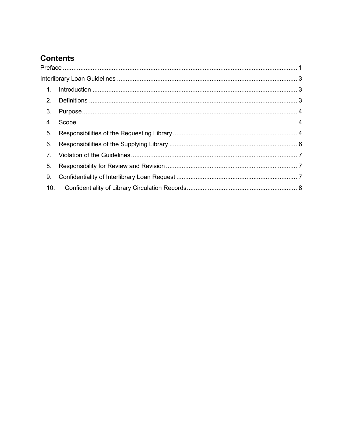# **Contents**

| 1.             |  |  |
|----------------|--|--|
| 2 <sub>1</sub> |  |  |
| 3.             |  |  |
| 4.             |  |  |
| 5.             |  |  |
| 6.             |  |  |
| $\overline{7}$ |  |  |
| 8.             |  |  |
| 9.             |  |  |
| 10.            |  |  |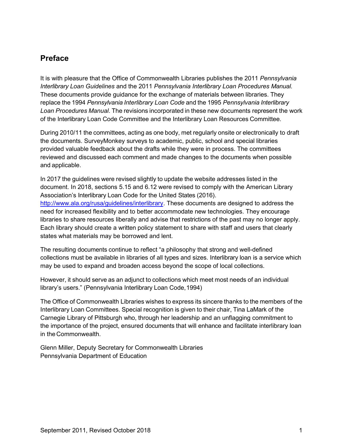## <span id="page-3-0"></span>**Preface**

It is with pleasure that the Office of Commonwealth Libraries publishes the 2011 *Pennsylvania Interlibrary Loan Guidelines* and the 2011 *Pennsylvania Interlibrary Loan Procedures Manual*. These documents provide guidance for the exchange of materials between libraries. They replace the 1994 *Pennsylvania Interlibrary Loan Code* and the 1995 *Pennsylvania Interlibrary Loan Procedures Manual*. The revisions incorporated in these new documents represent the work of the Interlibrary Loan Code Committee and the Interlibrary Loan Resources Committee.

During 2010/11 the committees, acting as one body, met regularly onsite or electronically to draft the documents. SurveyMonkey surveys to academic, public, school and special libraries provided valuable feedback about the drafts while they were in process. The committees reviewed and discussed each comment and made changes to the documents when possible and applicable.

In 2017 the guidelines were revised slightly to update the website addresses listed in the document. In 2018, sections 5.15 and 6.12 were revised to comply with the American Library Association's Interlibrary Loan Code for the United States (2016). [http://www.ala.org/rusa/guidelines/interlibrary.](http://www.ala.org/rusa/guidelines/interlibrary) These documents are designed to address the need for increased flexibility and to better accommodate new technologies. They encourage libraries to share resources liberally and advise that restrictions of the past may no longer apply. Each library should create a written policy statement to share with staff and users that clearly states what materials may be borrowed and lent.

The resulting documents continue to reflect "a philosophy that strong and well-defined collections must be available in libraries of all types and sizes. Interlibrary loan is a service which may be used to expand and broaden access beyond the scope of local collections.

However, it should serve as an adjunct to collections which meet most needs of an individual library's users." (Pennsylvania Interlibrary Loan Code,1994)

The Office of Commonwealth Libraries wishes to express its sincere thanks to the members of the Interlibrary Loan Committees. Special recognition is given to their chair, Tina LaMark of the Carnegie Library of Pittsburgh who, through her leadership and an unflagging commitment to the importance of the project, ensured documents that will enhance and facilitate interlibrary loan in the Commonwealth.

Glenn Miller, Deputy Secretary for Commonwealth Libraries Pennsylvania Department of Education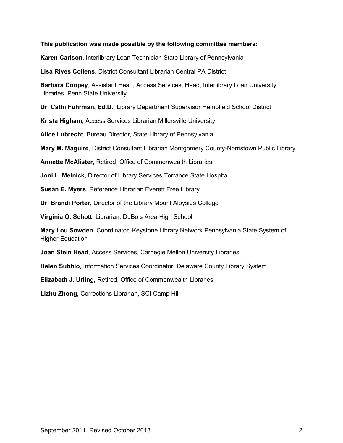#### **This publication was made possible by the following committee members:**

**Karen Carlson**, Interlibrary Loan Technician State Library of Pennsylvania

**Lisa Rives Collens**, District Consultant Librarian Central PA District

**Barbara Coopey**, Assistant Head, Access Services, Head, Interlibrary Loan University Libraries, Penn State University

**Dr. Cathi Fuhrman, Ed.D.**, Library Department Supervisor Hempfield School District

**Krista Higham**, Access Services Librarian Millersville University

**Alice Lubrecht**, Bureau Director, State Library of Pennsylvania

**Mary M. Maguire**, District Consultant Librarian Montgomery County-Norristown Public Library

**Annette McAlister**, Retired, Office of Commonwealth Libraries

**Joni L. Melnick**, Director of Library Services Torrance State Hospital

**Susan E. Myers**, Reference Librarian Everett Free Library

**Dr. Brandi Porter**, Director of the Library Mount Aloysius College

**Virginia O. Schott**, Librarian, DuBois Area High School

**Mary Lou Sowden**, Coordinator, Keystone Library Network Pennsylvania State System of Higher Education

**Joan Stein Head**, Access Services, Carnegie Mellon University Libraries

**Helen Subbio**, Information Services Coordinator, Delaware County Library System

**Elizabeth J. Urling**, Retired, Office of Commonwealth Libraries

**Lizhu Zhong**, Corrections Librarian, SCI Camp Hill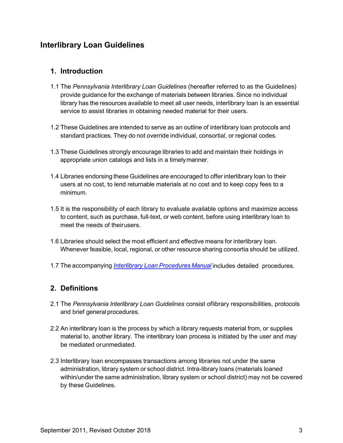## <span id="page-5-0"></span>**Interlibrary Loan Guidelines**

#### <span id="page-5-1"></span>**1. Introduction**

- 1.1 The *Pennsylvania Interlibrary Loan Guidelines* (hereafter referred to as the Guidelines) provide guidance for the exchange of materials between libraries. Since no individual library has the resources available to meet all user needs, interlibrary loan is an essential service to assist libraries in obtaining needed material for their users.
- 1.2 These Guidelines are intended to serve as an outline of interlibrary loan protocols and standard practices. They do not override individual, consortial, or regional codes.
- 1.3 These Guidelines strongly encourage libraries to add and maintain their holdings in appropriate union catalogs and lists in a timelymanner.
- 1.4 Libraries endorsing these Guidelines are encouraged to offer interlibrary loan to their users at no cost, to lend returnable materials at no cost and to keep copy fees to a minimum.
- 1.5 It is the responsibility of each library to evaluate available options and maximize access to content, such as purchase, full-text, or web content, before using interlibrary loan to meet the needs of theirusers.
- 1.6 Libraries should select the most efficient and effective means for interlibrary loan. Whenever feasible, local, regional, or other resource sharing consortia should be utilized.
- 1.7 The accompanying *Interlibrary Loan [Procedures](http://www.statelibrary.pa.gov/Documents/For%20Libraries/Library%20Laws%20and%20Regulations/Interlibrary%20Loan%20Guidelines/Interlibrary%20Loan%20Procedures.pdf) Manual* includes detailed procedures.

### <span id="page-5-2"></span>**2. Definitions**

- 2.1 The *Pennsylvania Interlibrary Loan Guidelines* consist oflibrary responsibilities, protocols and brief general procedures.
- 2.2 An interlibrary loan is the process by which a library requests material from, or supplies material to, another library. The interlibrary loan process is initiated by the user and may be mediated orunmediated.
- 2.3 Interlibrary loan encompasses transactions among libraries not under the same administration, library system or school district. Intra-library loans (materials loaned within/under the same administration, library system or school district) may not be covered by these Guidelines.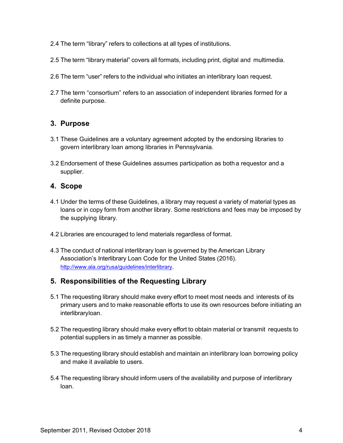- 2.4 The term "library" refers to collections at all types of institutions.
- 2.5 The term "library material" covers all formats, including print, digital and multimedia.
- 2.6 The term "user" refers to the individual who initiates an interlibrary loan request.
- 2.7 The term "consortium" refers to an association of independent libraries formed for a definite purpose.

#### <span id="page-6-0"></span>**3. Purpose**

- 3.1 These Guidelines are a voluntary agreement adopted by the endorsing libraries to govern interlibrary loan among libraries in Pennsylvania.
- 3.2 Endorsement of these Guidelines assumes participation as both a requestor and a supplier.

#### <span id="page-6-1"></span>**4. Scope**

- 4.1 Under the terms of these Guidelines, a library may request a variety of material types as loans or in copy form from another library. Some restrictions and fees may be imposed by the supplying library.
- 4.2 Libraries are encouraged to lend materials regardless of format.
- 4.3 The conduct of national interlibrary loan is governed by the American Library Association's Interlibrary Loan Code for the United States (2016)[.](http://www.ala.org/rusa/guidelines/interlibrary) [http://www.ala.org/rusa/guidelines/interlibrary.](http://www.ala.org/rusa/guidelines/interlibrary)

### <span id="page-6-2"></span>**5. Responsibilities of the Requesting Library**

- 5.1 The requesting library should make every effort to meet most needs and interests of its primary users and to make reasonable efforts to use its own resources before initiating an interlibraryloan.
- 5.2 The requesting library should make every effort to obtain material or transmit requests to potential suppliers in as timely a manner as possible.
- 5.3 The requesting library should establish and maintain an interlibrary loan borrowing policy and make it available to users.
- 5.4 The requesting library should inform users of the availability and purpose of interlibrary loan.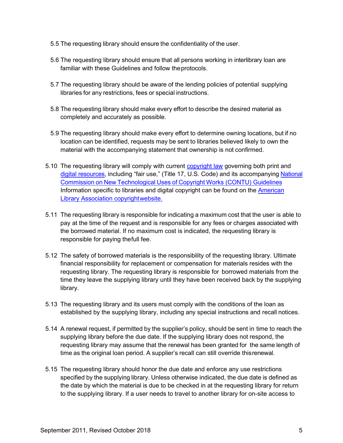- 5.5 The requesting library should ensure the confidentiality of the user.
- 5.6 The requesting library should ensure that all persons working in interlibrary loan are familiar with these Guidelines and follow theprotocols.
- 5.7 The requesting library should be aware of the lending policies of potential supplying libraries for any restrictions, fees or special instructions.
- 5.8 The requesting library should make every effort to describe the desired material as completely and accurately as possible.
- 5.9 The requesting library should make every effort to determine owning locations, but if no location can be identified, requests may be sent to libraries believed likely to own the material with the accompanying statement that ownership is not confirmed.
- 5.10 The requesting library will comply with current [copyright law](https://www.copyright.gov/) governing both print an[d](https://www.copyright.gov/legislation/dmca.pdf) [digital resources,](https://www.copyright.gov/legislation/dmca.pdf) including "fair use," (Title 17, U.S. Code) and its accompanying [National](http://www.ala.org/advocacy/sites/ala.org.advocacy/files/content/copyright/GLsInterlibLoan.pdf) Commission on New [Technological](http://www.ala.org/advocacy/sites/ala.org.advocacy/files/content/copyright/GLsInterlibLoan.pdf) Uses of Copyright Works [\(CONTU\) Guidelines](http://www.ala.org/advocacy/sites/ala.org.advocacy/files/content/copyright/GLsInterlibLoan.pdf) Information specific to libraries and digital copyright can be found on the [American](http://www.ala.org/advocacy/copyright)  [Library Association copyrightwebsite.](http://www.ala.org/advocacy/copyright)
- 5.11 The requesting library is responsible for indicating a maximum cost that the user is able to pay at the time of the request and is responsible for any fees or charges associated with the borrowed material. If no maximum cost is indicated, the requesting library is responsible for paying thefull fee.
- 5.12 The safety of borrowed materials is the responsibility of the requesting library. Ultimate financial responsibility for replacement or compensation for materials resides with the requesting library. The requesting library is responsible for borrowed materials from the time they leave the supplying library until they have been received back by the supplying library.
- 5.13 The requesting library and its users must comply with the conditions of the loan as established by the supplying library, including any special instructions and recall notices.
- 5.14 A renewal request, if permitted by the supplier's policy, should be sent in time to reach the supplying library before the due date. If the supplying library does not respond, the requesting library may assume that the renewal has been granted for the same length of time as the original loan period. A supplier's recall can still override thisrenewal.
- 5.15 The requesting library should honor the due date and enforce any use restrictions specified by the supplying library. Unless otherwise indicated, the due date is defined as the date by which the material is due to be checked in at the requesting library for return to the supplying library. If a user needs to travel to another library for on-site access to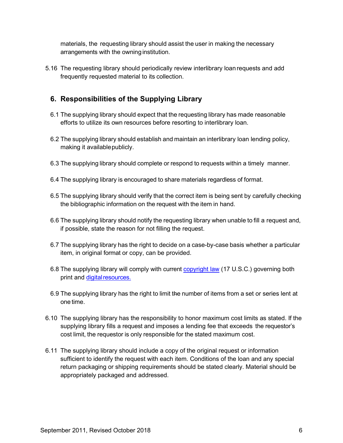materials, the requesting library should assist the user in making the necessary arrangements with the owning institution.

5.16 The requesting library should periodically review interlibrary loan requests and add frequently requested material to its collection.

## <span id="page-8-0"></span>**6. Responsibilities of the Supplying Library**

- 6.1 The supplying library should expect that the requesting library has made reasonable efforts to utilize its own resources before resorting to interlibrary loan.
- 6.2 The supplying library should establish and maintain an interlibrary loan lending policy, making it availablepublicly.
- 6.3 The supplying library should complete or respond to requests within a timely manner.
- 6.4 The supplying library is encouraged to share materials regardless of format.
- 6.5 The supplying library should verify that the correct item is being sent by carefully checking the bibliographic information on the request with the item in hand.
- 6.6 The supplying library should notify the requesting library when unable to fill a request and, if possible, state the reason for not filling the request.
- 6.7 The supplying library has the right to decide on a case-by-case basis whether a particular item, in original format or copy, can be provided.
- 6.8 The supplying library will comply with current [copyright law](https://www.copyright.gov/) (17 U.S.C.) governing both print and digital resources.
- 6.9 The supplying library has the right to limit the number of items from a set or series lent at one time.
- 6.10 The supplying library has the responsibility to honor maximum cost limits as stated. If the supplying library fills a request and imposes a lending fee that exceeds the requestor's cost limit, the requestor is only responsible for the stated maximum cost.
- 6.11 The supplying library should include a copy of the original request or information sufficient to identify the request with each item. Conditions of the loan and any special return packaging or shipping requirements should be stated clearly. Material should be appropriately packaged and addressed.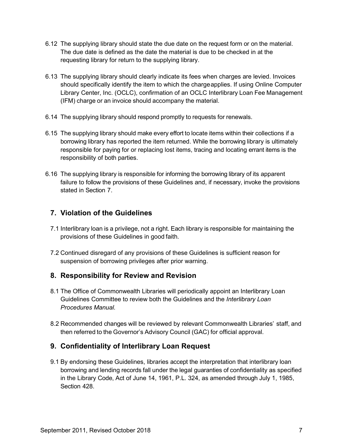- 6.12 The supplying library should state the due date on the request form or on the material. The due date is defined as the date the material is due to be checked in at the requesting library for return to the supplying library.
- 6.13 The supplying library should clearly indicate its fees when charges are levied. Invoices should specifically identify the item to which the chargeapplies. If using Online Computer Library Center, Inc. (OCLC), confirmation of an OCLC Interlibrary Loan Fee Management (IFM) charge or an invoice should accompany the material.
- 6.14 The supplying library should respond promptly to requests for renewals.
- 6.15 The supplying library should make every effort to locate items within their collections if a borrowing library has reported the item returned. While the borrowing library is ultimately responsible for paying for or replacing lost items, tracing and locating errant items is the responsibility of both parties.
- 6.16 The supplying library is responsible for informing the borrowing library of its apparent failure to follow the provisions of these Guidelines and, if necessary, invoke the provisions stated in Section 7.

## <span id="page-9-0"></span>**7. Violation of the Guidelines**

- 7.1 Interlibrary loan is a privilege, not a right. Each library is responsible for maintaining the provisions of these Guidelines in good faith.
- 7.2 Continued disregard of any provisions of these Guidelines is sufficient reason for suspension of borrowing privileges after prior warning.

### <span id="page-9-1"></span>**8. Responsibility for Review and Revision**

- 8.1 The Office of Commonwealth Libraries will periodically appoint an Interlibrary Loan Guidelines Committee to review both the Guidelines and the *Interlibrary Loan Procedures Manual.*
- 8.2 Recommended changes will be reviewed by relevant Commonwealth Libraries' staff, and then referred to the Governor's Advisory Council (GAC) for official approval.

### <span id="page-9-2"></span>**9. Confidentiality of Interlibrary Loan Request**

9.1 By endorsing these Guidelines, libraries accept the interpretation that interlibrary loan borrowing and lending records fall under the legal guaranties of confidentiality as specified in the Library Code, Act of June 14, 1961, P.L. 324, as amended through July 1, 1985, Section 428.